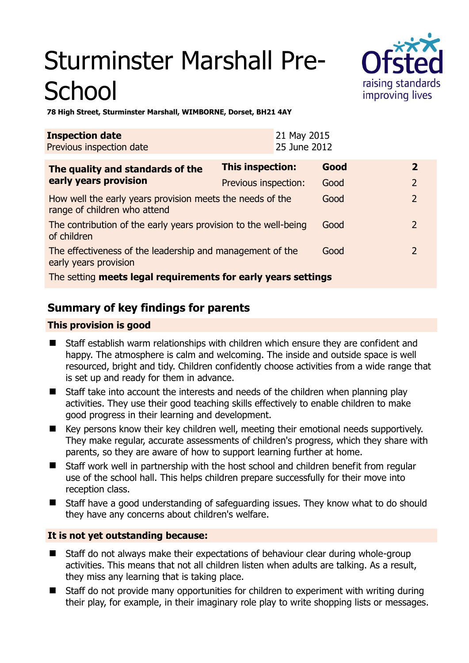# Sturminster Marshall Pre-**School**



**78 High Street, Sturminster Marshall, WIMBORNE, Dorset, BH21 4AY** 

| <b>Inspection date</b><br>Previous inspection date                                        |                      | 21 May 2015<br>25 June 2012 |      |               |
|-------------------------------------------------------------------------------------------|----------------------|-----------------------------|------|---------------|
| The quality and standards of the<br>early years provision                                 | This inspection:     |                             | Good | $\mathbf{2}$  |
|                                                                                           | Previous inspection: |                             | Good | 2             |
| How well the early years provision meets the needs of the<br>range of children who attend |                      |                             | Good | $\mathcal{P}$ |
| The contribution of the early years provision to the well-being<br>of children            |                      |                             | Good | $\mathcal{L}$ |
| The effectiveness of the leadership and management of the<br>early years provision        |                      |                             | Good | $\mathcal{L}$ |
| The setting meets legal requirements for early years settings                             |                      |                             |      |               |

# **Summary of key findings for parents**

## **This provision is good**

- Staff establish warm relationships with children which ensure they are confident and happy. The atmosphere is calm and welcoming. The inside and outside space is well resourced, bright and tidy. Children confidently choose activities from a wide range that is set up and ready for them in advance.
- Staff take into account the interests and needs of the children when planning play activities. They use their good teaching skills effectively to enable children to make good progress in their learning and development.
- Key persons know their key children well, meeting their emotional needs supportively. They make regular, accurate assessments of children's progress, which they share with parents, so they are aware of how to support learning further at home.
- **Staff work well in partnership with the host school and children benefit from regular** use of the school hall. This helps children prepare successfully for their move into reception class.
- Staff have a good understanding of safeguarding issues. They know what to do should they have any concerns about children's welfare.

## **It is not yet outstanding because:**

- Staff do not always make their expectations of behaviour clear during whole-group activities. This means that not all children listen when adults are talking. As a result, they miss any learning that is taking place.
- Staff do not provide many opportunities for children to experiment with writing during their play, for example, in their imaginary role play to write shopping lists or messages.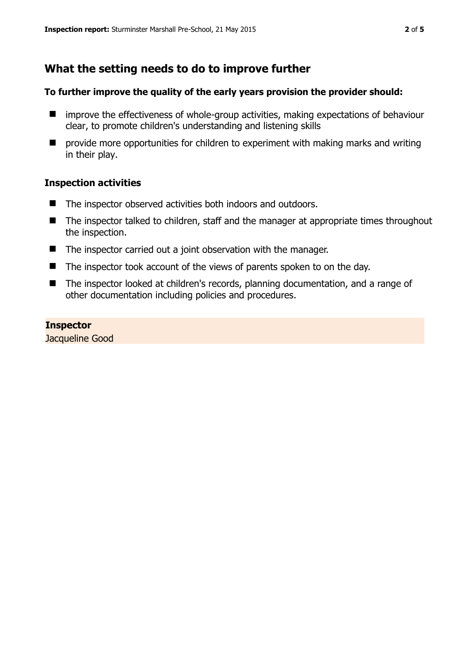# **What the setting needs to do to improve further**

## **To further improve the quality of the early years provision the provider should:**

- $\blacksquare$  improve the effectiveness of whole-group activities, making expectations of behaviour clear, to promote children's understanding and listening skills
- $\blacksquare$  provide more opportunities for children to experiment with making marks and writing in their play.

### **Inspection activities**

- The inspector observed activities both indoors and outdoors.
- The inspector talked to children, staff and the manager at appropriate times throughout the inspection.
- The inspector carried out a joint observation with the manager.
- The inspector took account of the views of parents spoken to on the day.
- The inspector looked at children's records, planning documentation, and a range of other documentation including policies and procedures.

# **Inspector**

Jacqueline Good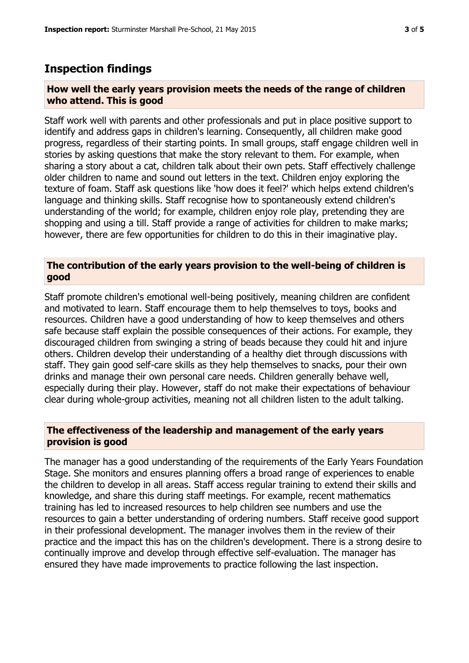## **Inspection findings**

#### **How well the early years provision meets the needs of the range of children who attend. This is good**

Staff work well with parents and other professionals and put in place positive support to identify and address gaps in children's learning. Consequently, all children make good progress, regardless of their starting points. In small groups, staff engage children well in stories by asking questions that make the story relevant to them. For example, when sharing a story about a cat, children talk about their own pets. Staff effectively challenge older children to name and sound out letters in the text. Children enjoy exploring the texture of foam. Staff ask questions like 'how does it feel?' which helps extend children's language and thinking skills. Staff recognise how to spontaneously extend children's understanding of the world; for example, children enjoy role play, pretending they are shopping and using a till. Staff provide a range of activities for children to make marks; however, there are few opportunities for children to do this in their imaginative play.

## **The contribution of the early years provision to the well-being of children is good**

Staff promote children's emotional well-being positively, meaning children are confident and motivated to learn. Staff encourage them to help themselves to toys, books and resources. Children have a good understanding of how to keep themselves and others safe because staff explain the possible consequences of their actions. For example, they discouraged children from swinging a string of beads because they could hit and injure others. Children develop their understanding of a healthy diet through discussions with staff. They gain good self-care skills as they help themselves to snacks, pour their own drinks and manage their own personal care needs. Children generally behave well, especially during their play. However, staff do not make their expectations of behaviour clear during whole-group activities, meaning not all children listen to the adult talking.

## **The effectiveness of the leadership and management of the early years provision is good**

The manager has a good understanding of the requirements of the Early Years Foundation Stage. She monitors and ensures planning offers a broad range of experiences to enable the children to develop in all areas. Staff access regular training to extend their skills and knowledge, and share this during staff meetings. For example, recent mathematics training has led to increased resources to help children see numbers and use the resources to gain a better understanding of ordering numbers. Staff receive good support in their professional development. The manager involves them in the review of their practice and the impact this has on the children's development. There is a strong desire to continually improve and develop through effective self-evaluation. The manager has ensured they have made improvements to practice following the last inspection.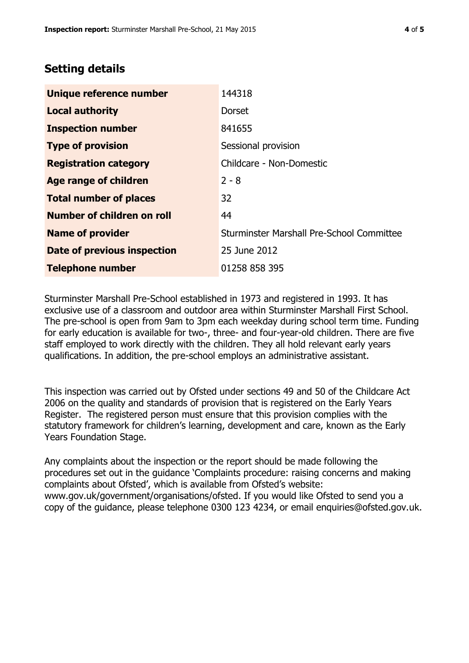# **Setting details**

| Unique reference number       | 144318                                    |  |
|-------------------------------|-------------------------------------------|--|
| <b>Local authority</b>        | <b>Dorset</b>                             |  |
| <b>Inspection number</b>      | 841655                                    |  |
| <b>Type of provision</b>      | Sessional provision                       |  |
| <b>Registration category</b>  | Childcare - Non-Domestic                  |  |
| Age range of children         | $2 - 8$                                   |  |
| <b>Total number of places</b> | 32                                        |  |
| Number of children on roll    | 44                                        |  |
| <b>Name of provider</b>       | Sturminster Marshall Pre-School Committee |  |
| Date of previous inspection   | 25 June 2012                              |  |
| <b>Telephone number</b>       | 01258 858 395                             |  |

Sturminster Marshall Pre-School established in 1973 and registered in 1993. It has exclusive use of a classroom and outdoor area within Sturminster Marshall First School. The pre-school is open from 9am to 3pm each weekday during school term time. Funding for early education is available for two-, three- and four-year-old children. There are five staff employed to work directly with the children. They all hold relevant early years qualifications. In addition, the pre-school employs an administrative assistant.

This inspection was carried out by Ofsted under sections 49 and 50 of the Childcare Act 2006 on the quality and standards of provision that is registered on the Early Years Register. The registered person must ensure that this provision complies with the statutory framework for children's learning, development and care, known as the Early Years Foundation Stage.

Any complaints about the inspection or the report should be made following the procedures set out in the guidance 'Complaints procedure: raising concerns and making complaints about Ofsted', which is available from Ofsted's website: www.gov.uk/government/organisations/ofsted. If you would like Ofsted to send you a copy of the guidance, please telephone 0300 123 4234, or email enquiries@ofsted.gov.uk.